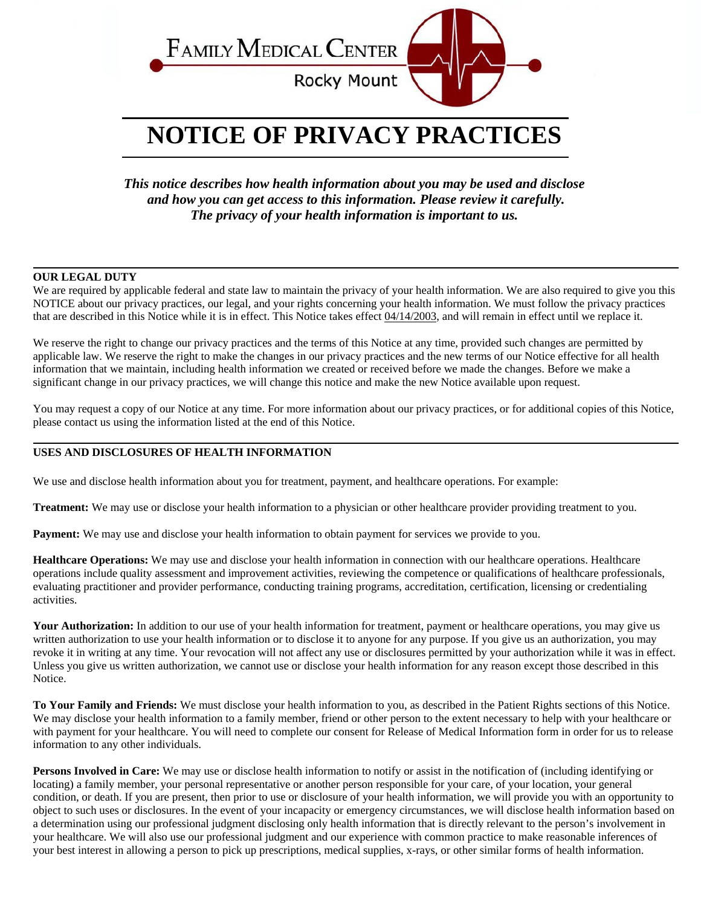

# **NOTICE OF PRIVACY PRACTICES**

*This notice describes how health information about you may be used and disclose and how you can get access to this information. Please review it carefully. The privacy of your health information is important to us.*

## **OUR LEGAL DUTY**

We are required by applicable federal and state law to maintain the privacy of your health information. We are also required to give you this NOTICE about our privacy practices, our legal, and your rights concerning your health information. We must follow the privacy practices that are described in this Notice while it is in effect. This Notice takes effect 04/14/2003, and will remain in effect until we replace it.

We reserve the right to change our privacy practices and the terms of this Notice at any time, provided such changes are permitted by applicable law. We reserve the right to make the changes in our privacy practices and the new terms of our Notice effective for all health information that we maintain, including health information we created or received before we made the changes. Before we make a significant change in our privacy practices, we will change this notice and make the new Notice available upon request.

You may request a copy of our Notice at any time. For more information about our privacy practices, or for additional copies of this Notice, please contact us using the information listed at the end of this Notice.

## **USES AND DISCLOSURES OF HEALTH INFORMATION**

We use and disclose health information about you for treatment, payment, and healthcare operations. For example:

**Treatment:** We may use or disclose your health information to a physician or other healthcare provider providing treatment to you.

**Payment:** We may use and disclose your health information to obtain payment for services we provide to you.

**Healthcare Operations:** We may use and disclose your health information in connection with our healthcare operations. Healthcare operations include quality assessment and improvement activities, reviewing the competence or qualifications of healthcare professionals, evaluating practitioner and provider performance, conducting training programs, accreditation, certification, licensing or credentialing activities.

Your Authorization: In addition to our use of your health information for treatment, payment or healthcare operations, you may give us written authorization to use your health information or to disclose it to anyone for any purpose. If you give us an authorization, you may revoke it in writing at any time. Your revocation will not affect any use or disclosures permitted by your authorization while it was in effect. Unless you give us written authorization, we cannot use or disclose your health information for any reason except those described in this Notice.

**To Your Family and Friends:** We must disclose your health information to you, as described in the Patient Rights sections of this Notice. We may disclose your health information to a family member, friend or other person to the extent necessary to help with your healthcare or with payment for your healthcare. You will need to complete our consent for Release of Medical Information form in order for us to release information to any other individuals.

**Persons Involved in Care:** We may use or disclose health information to notify or assist in the notification of (including identifying or locating) a family member, your personal representative or another person responsible for your care, of your location, your general condition, or death. If you are present, then prior to use or disclosure of your health information, we will provide you with an opportunity to object to such uses or disclosures. In the event of your incapacity or emergency circumstances, we will disclose health information based on a determination using our professional judgment disclosing only health information that is directly relevant to the person's involvement in your healthcare. We will also use our professional judgment and our experience with common practice to make reasonable inferences of your best interest in allowing a person to pick up prescriptions, medical supplies, x-rays, or other similar forms of health information.